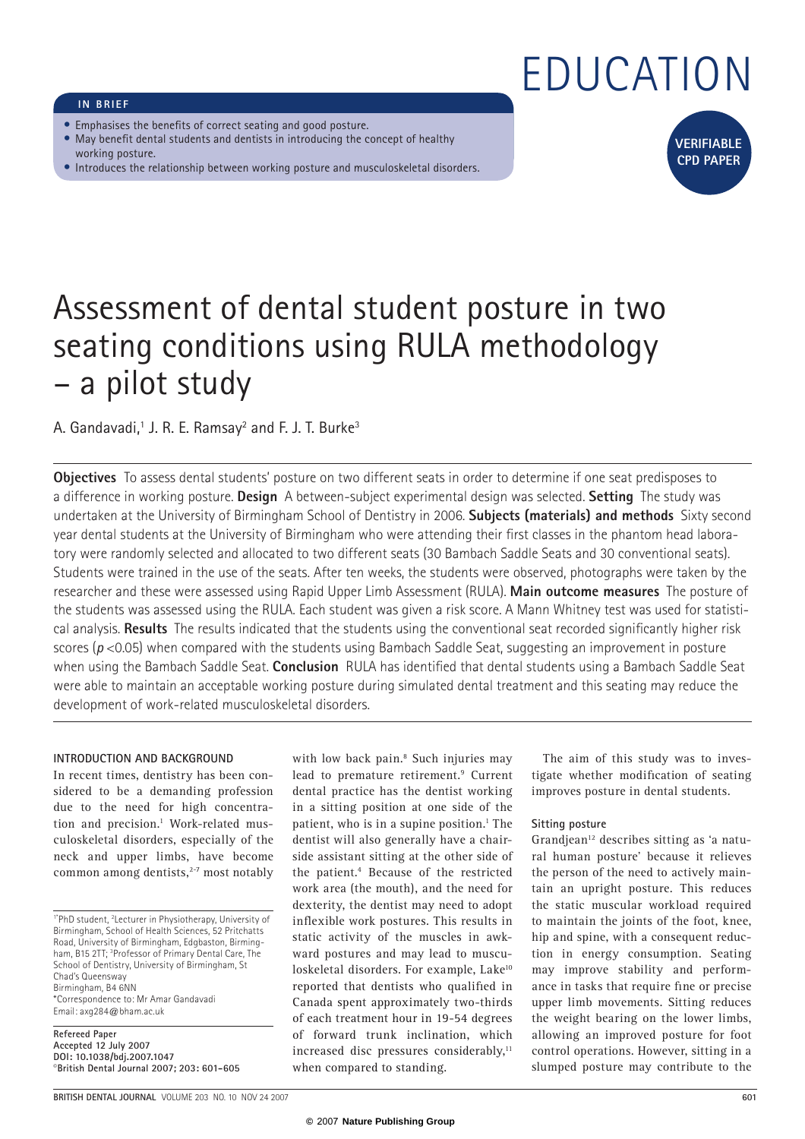# EDUCATION

## **IN BRIEF**

- Emphasises the benefits of correct seating and good posture.
- May benefit dental students and dentists in introducing the concept of healthy working posture.
- Introduces the relationship between working posture and musculoskeletal disorders.



## Assessment of dental student posture in two seating conditions using RULA methodology – a pilot study

A. Gandavadi, $^1$  J. R. E. Ramsay<sup>2</sup> and F. J. T. Burke $^3$ 

**Objectives** To assess dental students' posture on two different seats in order to determine if one seat predisposes to a difference in working posture. **Design** A between-subject experimental design was selected. **Setting** The study was undertaken at the University of Birmingham School of Dentistry in 2006. **Subjects (materials) and methods** Sixty second year dental students at the University of Birmingham who were attending their first classes in the phantom head laboratory were randomly selected and allocated to two different seats (30 Bambach Saddle Seats and 30 conventional seats). Students were trained in the use of the seats. After ten weeks, the students were observed, photographs were taken by the researcher and these were assessed using Rapid Upper Limb Assessment (RULA). **Main outcome measures** The posture of the students was assessed using the RULA. Each student was given a risk score. A Mann Whitney test was used for statistical analysis. **Results** The results indicated that the students using the conventional seat recorded significantly higher risk scores ( $p$  <0.05) when compared with the students using Bambach Saddle Seat, suggesting an improvement in posture when using the Bambach Saddle Seat. **Conclusion** RULA has identified that dental students using a Bambach Saddle Seat were able to maintain an acceptable working posture during simulated dental treatment and this seating may reduce the development of work-related musculoskeletal disorders.

## **INTRODUCTION AND BACKGROUND**

In recent times, dentistry has been considered to be a demanding profession due to the need for high concentration and precision.<sup>1</sup> Work-related musculoskeletal disorders, especially of the neck and upper limbs, have become common among dentists, $2-7$  most notably

1\*PhD student, 2 Lecturer in Physiotherapy, University of Birmingham, School of Health Sciences, 52 Pritchatts Road, University of Birmingham, Edgbaston, Birmingham, B15 2TT; 3 Professor of Primary Dental Care, The School of Dentistry, University of Birmingham, St Chad's Queensway Birmingham, B4 6NN \*Correspondence to: Mr Amar Gandavadi Email: axg284@bham.ac.uk

**Refereed Paper Accepted 12 July 2007 DOI: 10.1038/bdj.2007.1047**  ©**British Dental Journal 2007; 203: 601-605** 

with low back pain.<sup>8</sup> Such injuries may lead to premature retirement.<sup>9</sup> Current dental practice has the dentist working in a sitting position at one side of the patient, who is in a supine position.<sup>1</sup> The dentist will also generally have a chairside assistant sitting at the other side of the patient.4 Because of the restricted work area (the mouth), and the need for dexterity, the dentist may need to adopt inflexible work postures. This results in static activity of the muscles in awkward postures and may lead to musculoskeletal disorders. For example, Lake<sup>10</sup> reported that dentists who qualified in Canada spent approximately two-thirds of each treatment hour in 19-54 degrees of forward trunk inclination, which increased disc pressures considerably, $11$ when compared to standing.

The aim of this study was to investigate whether modification of seating improves posture in dental students.

## **Sitting posture**

Grandiean<sup>12</sup> describes sitting as 'a natural human posture' because it relieves the person of the need to actively maintain an upright posture. This reduces the static muscular workload required to maintain the joints of the foot, knee, hip and spine, with a consequent reduction in energy consumption. Seating may improve stability and performance in tasks that require fine or precise upper limb movements. Sitting reduces the weight bearing on the lower limbs, allowing an improved posture for foot control operations. However, sitting in a slumped posture may contribute to the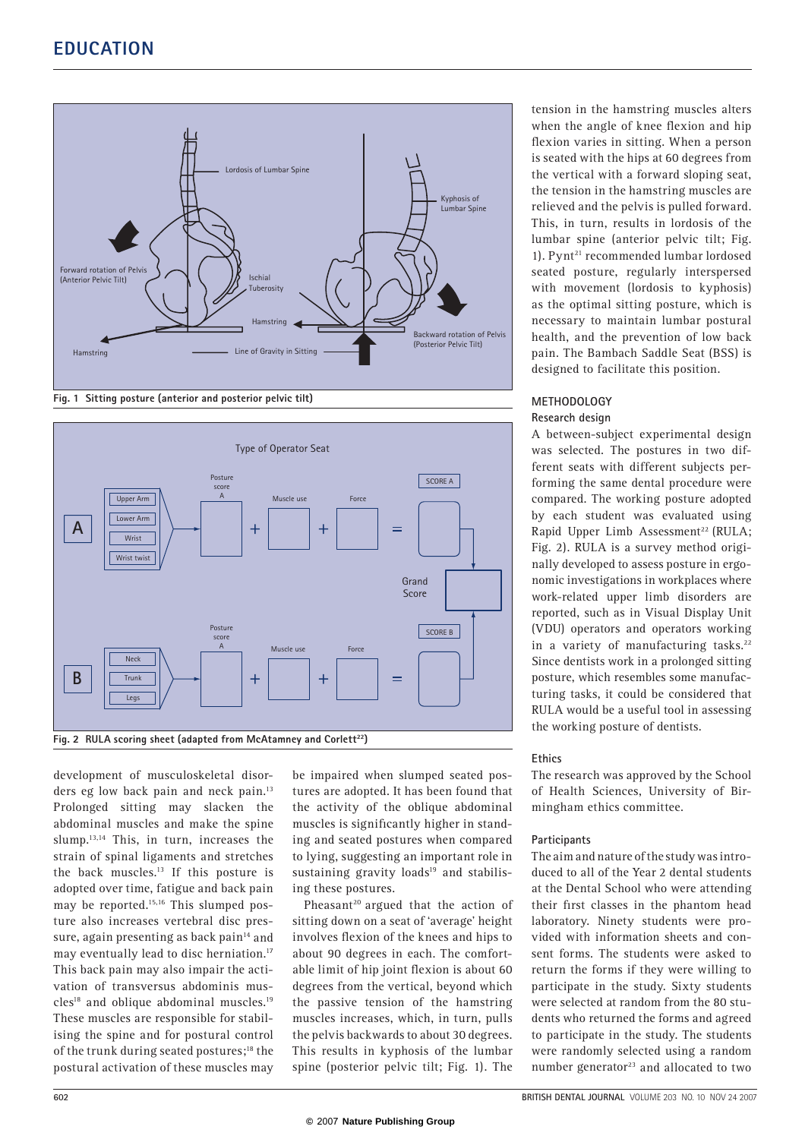

**Fig. 1 Sitting posture (anterior and posterior pelvic tilt)** 



development of musculoskeletal disorders eg low back pain and neck pain.<sup>13</sup> Prolonged sitting may slacken the abdominal muscles and make the spine slump.<sup>13,14</sup> This, in turn, increases the strain of spinal ligaments and stretches the back muscles.13 If this posture is adopted over time, fatigue and back pain may be reported.<sup>15,16</sup> This slumped posture also increases vertebral disc pressure, again presenting as back pain $14$  and may eventually lead to disc herniation.<sup>17</sup> This back pain may also impair the activation of transversus abdominis mus $cles<sup>18</sup>$  and oblique abdominal muscles.<sup>19</sup> These muscles are responsible for stabilising the spine and for postural control of the trunk during seated postures;<sup>18</sup> the postural activation of these muscles may

be impaired when slumped seated postures are adopted. It has been found that the activity of the oblique abdominal muscles is significantly higher in standing and seated postures when compared to lying, suggesting an important role in sustaining gravity loads $19$  and stabilising these postures.

Pheasant<sup>20</sup> argued that the action of sitting down on a seat of 'average' height involves flexion of the knees and hips to about 90 degrees in each. The comfortable limit of hip joint flexion is about 60 degrees from the vertical, beyond which the passive tension of the hamstring muscles increases, which, in turn, pulls the pelvis backwards to about 30 degrees. This results in kyphosis of the lumbar spine (posterior pelvic tilt; Fig. 1). The

tension in the hamstring muscles alters when the angle of knee flexion and hip flexion varies in sitting. When a person is seated with the hips at 60 degrees from the vertical with a forward sloping seat, the tension in the hamstring muscles are relieved and the pelvis is pulled forward. This, in turn, results in lordosis of the lumbar spine (anterior pelvic tilt; Fig. 1). Pynt<sup>21</sup> recommended lumbar lordosed seated posture, regularly interspersed with movement (lordosis to kyphosis) as the optimal sitting posture, which is necessary to maintain lumbar postural health, and the prevention of low back pain. The Bambach Saddle Seat (BSS) is designed to facilitate this position.

## **METHODOLOGY Research design**

A between-subject experimental design was selected. The postures in two different seats with different subjects performing the same dental procedure were compared. The working posture adopted by each student was evaluated using Rapid Upper Limb Assessment<sup>22</sup> (RULA; Fig. 2). RULA is a survey method originally developed to assess posture in ergonomic investigations in workplaces where work-related upper limb disorders are reported, such as in Visual Display Unit (VDU) operators and operators working in a variety of manufacturing tasks.<sup>22</sup> Since dentists work in a prolonged sitting posture, which resembles some manufacturing tasks, it could be considered that RULA would be a useful tool in assessing the working posture of dentists.

## **Ethics**

The research was approved by the School of Health Sciences, University of Birmingham ethics committee.

## **Participants**

The aim and nature of the study was introduced to all of the Year 2 dental students at the Dental School who were attending their first classes in the phantom head laboratory. Ninety students were provided with information sheets and consent forms. The students were asked to return the forms if they were willing to participate in the study. Sixty students were selected at random from the 80 students who returned the forms and agreed to participate in the study. The students were randomly selected using a random number generator $23$  and allocated to two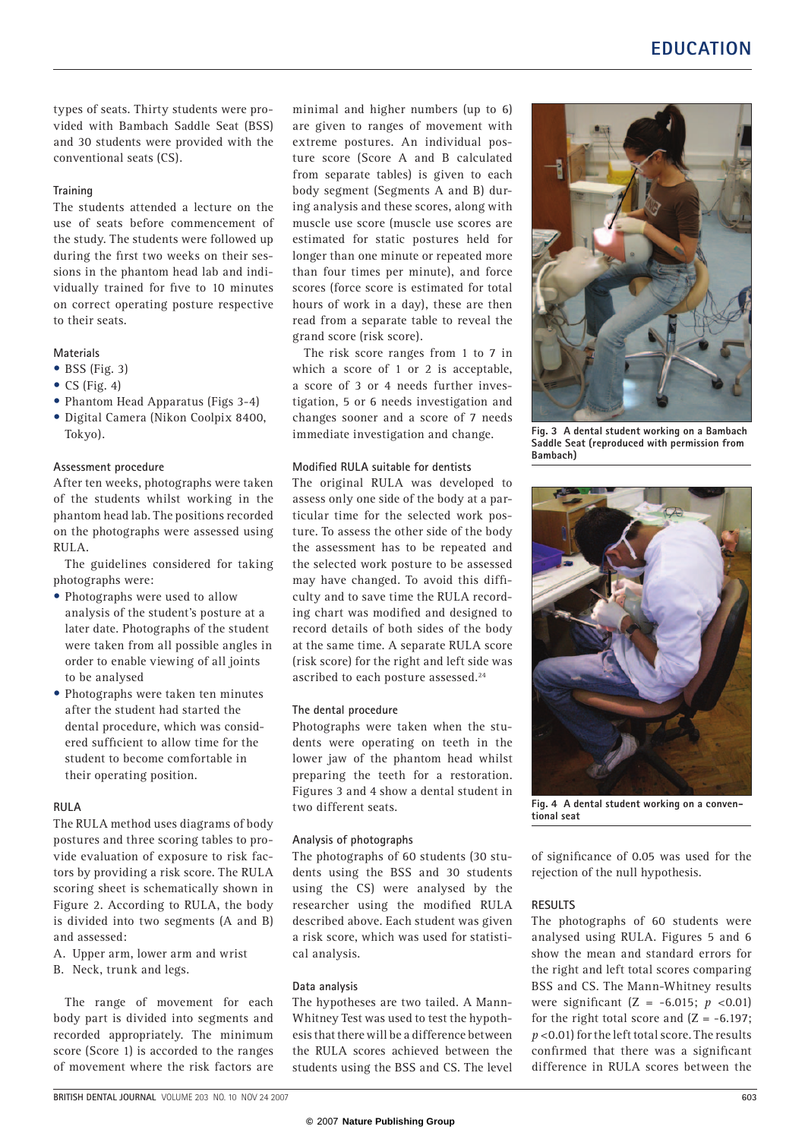types of seats. Thirty students were provided with Bambach Saddle Seat (BSS) and 30 students were provided with the conventional seats (CS).

## **Training**

The students attended a lecture on the use of seats before commencement of the study. The students were followed up during the first two weeks on their sessions in the phantom head lab and individually trained for five to 10 minutes on correct operating posture respective to their seats.

## **Materials**

- $\bullet$  BSS (Fig. 3)
- CS (Fig. 4)
- Phantom Head Apparatus (Figs 3-4)
- Digital Camera (Nikon Coolpix 8400, Tokyo).

#### **Assessment procedure**

After ten weeks, photographs were taken of the students whilst working in the phantom head lab. The positions recorded on the photographs were assessed using RULA.

The guidelines considered for taking photographs were:

- Photographs were used to allow analysis of the student's posture at a later date. Photographs of the student were taken from all possible angles in order to enable viewing of all joints to be analysed
- Photographs were taken ten minutes after the student had started the dental procedure, which was considered sufficient to allow time for the student to become comfortable in their operating position.

#### **RULA**

The RULA method uses diagrams of body postures and three scoring tables to provide evaluation of exposure to risk factors by providing a risk score. The RULA scoring sheet is schematically shown in Figure 2. According to RULA, the body is divided into two segments (A and B) and assessed:

- A. Upper arm, lower arm and wrist
- B. Neck, trunk and legs.

The range of movement for each body part is divided into segments and recorded appropriately. The minimum score (Score 1) is accorded to the ranges of movement where the risk factors are

minimal and higher numbers (up to 6) are given to ranges of movement with extreme postures. An individual posture score (Score A and B calculated from separate tables) is given to each body segment (Segments A and B) during analysis and these scores, along with muscle use score (muscle use scores are estimated for static postures held for longer than one minute or repeated more than four times per minute), and force scores (force score is estimated for total hours of work in a day), these are then read from a separate table to reveal the grand score (risk score).

The risk score ranges from 1 to 7 in which a score of 1 or 2 is acceptable, a score of 3 or 4 needs further investigation, 5 or 6 needs investigation and changes sooner and a score of 7 needs immediate investigation and change.

#### **Modified RULA suitable for dentists**

The original RULA was developed to assess only one side of the body at a particular time for the selected work posture. To assess the other side of the body the assessment has to be repeated and the selected work posture to be assessed may have changed. To avoid this diffi culty and to save time the RULA recording chart was modified and designed to record details of both sides of the body at the same time. A separate RULA score (risk score) for the right and left side was ascribed to each posture assessed.24

#### **The dental procedure**

Photographs were taken when the students were operating on teeth in the lower jaw of the phantom head whilst preparing the teeth for a restoration. Figures 3 and 4 show a dental student in two different seats.

## **Analysis of photographs**

The photographs of 60 students (30 students using the BSS and 30 students using the CS) were analysed by the researcher using the modified RULA described above. Each student was given a risk score, which was used for statistical analysis.

#### **Data analysis**

The hypotheses are two tailed. A Mann-Whitney Test was used to test the hypothesis that there will be a difference between the RULA scores achieved between the students using the BSS and CS. The level



**Fig. 3 A dental student working on a Bambach Saddle Seat (reproduced with permission from Bambach)** 



**Fig. 4 A dental student working on a conventional seat** 

of significance of 0.05 was used for the rejection of the null hypothesis.

## **RESULTS**

The photographs of 60 students were analysed using RULA. Figures 5 and 6 show the mean and standard errors for the right and left total scores comparing BSS and CS. The Mann-Whitney results were significant (Z = -6.015; *p* <0.01) for the right total score and  $(Z = -6.197)$ : *p* <0.01) for the left total score. The results confirmed that there was a significant difference in RULA scores between the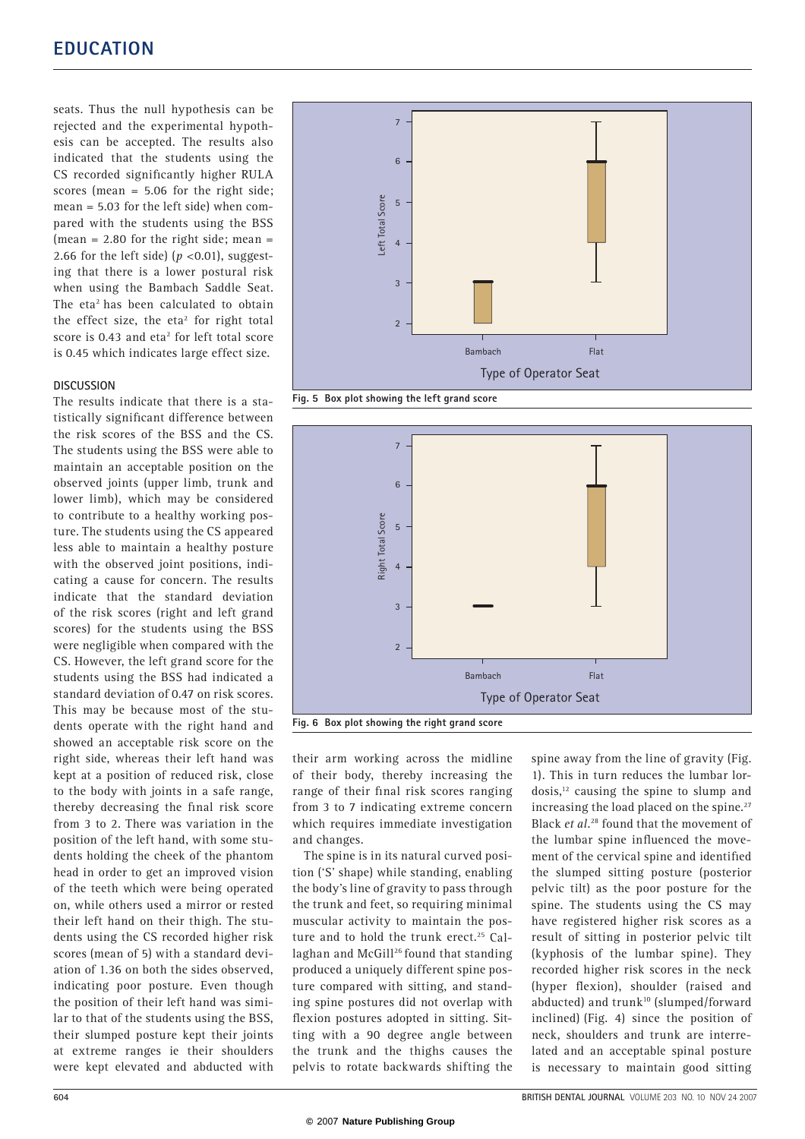seats. Thus the null hypothesis can be rejected and the experimental hypothesis can be accepted. The results also indicated that the students using the CS recorded significantly higher RULA scores (mean = 5.06 for the right side; mean = 5.03 for the left side) when compared with the students using the BSS (mean =  $2.80$  for the right side; mean = 2.66 for the left side) ( $p < 0.01$ ), suggesting that there is a lower postural risk when using the Bambach Saddle Seat. The eta<sup>2</sup> has been calculated to obtain the effect size, the eta<sup>2</sup> for right total score is 0.43 and eta<sup>2</sup> for left total score is 0.45 which indicates large effect size.

## **DISCUSSION**

The results indicate that there is a statistically significant difference between the risk scores of the BSS and the CS. The students using the BSS were able to maintain an acceptable position on the observed joints (upper limb, trunk and lower limb), which may be considered to contribute to a healthy working posture. The students using the CS appeared less able to maintain a healthy posture with the observed joint positions, indicating a cause for concern. The results indicate that the standard deviation of the risk scores (right and left grand scores) for the students using the BSS were negligible when compared with the CS. However, the left grand score for the students using the BSS had indicated a standard deviation of 0.47 on risk scores. This may be because most of the students operate with the right hand and showed an acceptable risk score on the right side, whereas their left hand was kept at a position of reduced risk, close to the body with joints in a safe range, thereby decreasing the final risk score from 3 to 2. There was variation in the position of the left hand, with some students holding the cheek of the phantom head in order to get an improved vision of the teeth which were being operated on, while others used a mirror or rested their left hand on their thigh. The students using the CS recorded higher risk scores (mean of 5) with a standard deviation of 1.36 on both the sides observed, indicating poor posture. Even though the position of their left hand was similar to that of the students using the BSS, their slumped posture kept their joints at extreme ranges ie their shoulders were kept elevated and abducted with



**Fig. 5 Box plot showing the left grand score** 



their arm working across the midline of their body, thereby increasing the range of their final risk scores ranging from 3 to 7 indicating extreme concern which requires immediate investigation and changes.

The spine is in its natural curved position ('S' shape) while standing, enabling the body's line of gravity to pass through the trunk and feet, so requiring minimal muscular activity to maintain the posture and to hold the trunk erect.<sup>25</sup> Callaghan and McGill<sup>26</sup> found that standing produced a uniquely different spine posture compared with sitting, and standing spine postures did not overlap with flexion postures adopted in sitting. Sitting with a 90 degree angle between the trunk and the thighs causes the pelvis to rotate backwards shifting the spine away from the line of gravity (Fig. 1). This in turn reduces the lumbar lor $dosis$ ,<sup>12</sup> causing the spine to slump and increasing the load placed on the spine.<sup>27</sup> Black *et al.*28 found that the movement of the lumbar spine influenced the movement of the cervical spine and identified the slumped sitting posture (posterior pelvic tilt) as the poor posture for the spine. The students using the CS may have registered higher risk scores as a result of sitting in posterior pelvic tilt (kyphosis of the lumbar spine). They recorded higher risk scores in the neck (hyper flexion), shoulder (raised and abducted) and trunk<sup>10</sup> (slumped/forward inclined) (Fig. 4) since the position of neck, shoulders and trunk are interrelated and an acceptable spinal posture is necessary to maintain good sitting